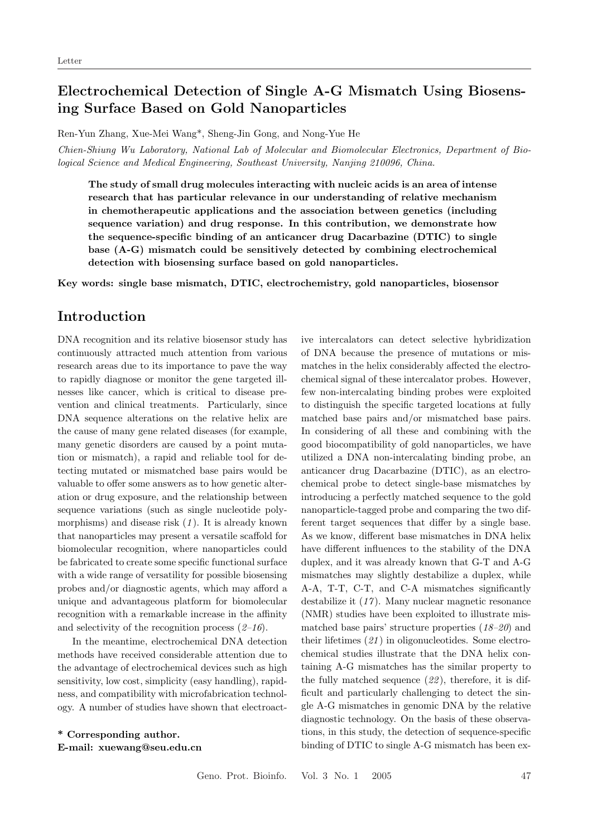## Electrochemical Detection of Single A-G Mismatch Using Biosensing Surface Based on Gold Nanoparticles

Ren-Yun Zhang, Xue-Mei Wang\*, Sheng-Jin Gong, and Nong-Yue He

Chien-Shiung Wu Laboratory, National Lab of Molecular and Biomolecular Electronics, Department of Biological Science and Medical Engineering, Southeast University, Nanjing 210096, China.

The study of small drug molecules interacting with nucleic acids is an area of intense research that has particular relevance in our understanding of relative mechanism in chemotherapeutic applications and the association between genetics (including sequence variation) and drug response. In this contribution, we demonstrate how the sequence-specific binding of an anticancer drug Dacarbazine (DTIC) to single base (A-G) mismatch could be sensitively detected by combining electrochemical detection with biosensing surface based on gold nanoparticles.

Key words: single base mismatch, DTIC, electrochemistry, gold nanoparticles, biosensor

#### Introduction

DNA recognition and its relative biosensor study has continuously attracted much attention from various research areas due to its importance to pave the way to rapidly diagnose or monitor the gene targeted illnesses like cancer, which is critical to disease prevention and clinical treatments. Particularly, since DNA sequence alterations on the relative helix are the cause of many gene related diseases (for example, many genetic disorders are caused by a point mutation or mismatch), a rapid and reliable tool for detecting mutated or mismatched base pairs would be valuable to offer some answers as to how genetic alteration or drug exposure, and the relationship between sequence variations (such as single nucleotide polymorphisms) and disease risk  $(1)$ . It is already known that nanoparticles may present a versatile scaffold for biomolecular recognition, where nanoparticles could be fabricated to create some specific functional surface with a wide range of versatility for possible biosensing probes and/or diagnostic agents, which may afford a unique and advantageous platform for biomolecular recognition with a remarkable increase in the affinity and selectivity of the recognition process  $(2-16)$ .

In the meantime, electrochemical DNA detection methods have received considerable attention due to the advantage of electrochemical devices such as high sensitivity, low cost, simplicity (easy handling), rapidness, and compatibility with microfabrication technology. A number of studies have shown that electroact-

\* Corresponding author. E-mail: xuewang@seu.edu.cn ive intercalators can detect selective hybridization of DNA because the presence of mutations or mismatches in the helix considerably affected the electrochemical signal of these intercalator probes. However, few non-intercalating binding probes were exploited to distinguish the specific targeted locations at fully matched base pairs and/or mismatched base pairs. In considering of all these and combining with the good biocompatibility of gold nanoparticles, we have utilized a DNA non-intercalating binding probe, an anticancer drug Dacarbazine (DTIC), as an electrochemical probe to detect single-base mismatches by introducing a perfectly matched sequence to the gold nanoparticle-tagged probe and comparing the two different target sequences that differ by a single base. As we know, different base mismatches in DNA helix have different influences to the stability of the DNA duplex, and it was already known that G-T and A-G mismatches may slightly destabilize a duplex, while A-A, T-T, C-T, and C-A mismatches significantly destabilize it (17 ). Many nuclear magnetic resonance (NMR) studies have been exploited to illustrate mismatched base pairs' structure properties  $(18-20)$  and their lifetimes  $(21)$  in oligonucleotides. Some electrochemical studies illustrate that the DNA helix containing A-G mismatches has the similar property to the fully matched sequence  $(22)$ , therefore, it is difficult and particularly challenging to detect the single A-G mismatches in genomic DNA by the relative diagnostic technology. On the basis of these observations, in this study, the detection of sequence-specific binding of DTIC to single A-G mismatch has been ex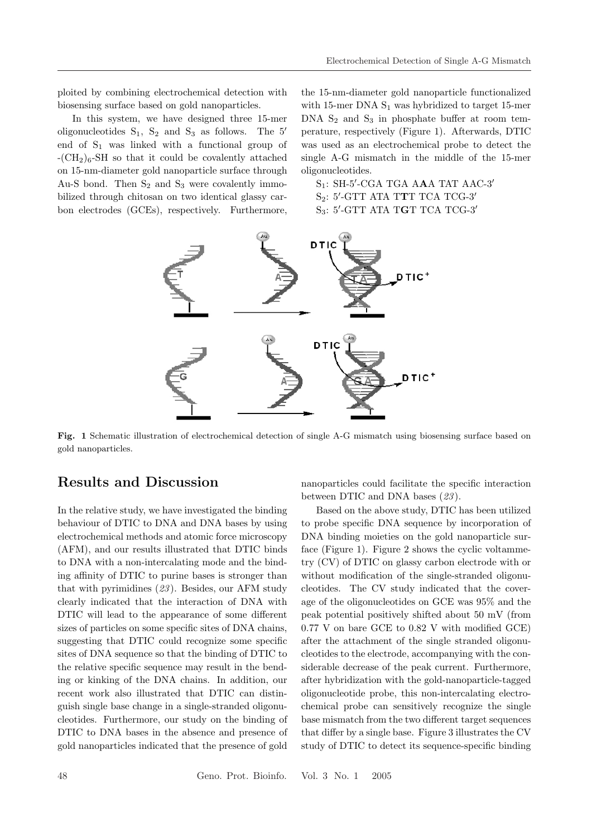ploited by combining electrochemical detection with biosensing surface based on gold nanoparticles.

In this system, we have designed three 15-mer oligonucleotides  $S_1$ ,  $S_2$  and  $S_3$  as follows. The 5' end of  $S_1$  was linked with a functional group of  $-(CH<sub>2</sub>)<sub>6</sub>$ -SH so that it could be covalently attached on 15-nm-diameter gold nanoparticle surface through Au-S bond. Then  $S_2$  and  $S_3$  were covalently immobilized through chitosan on two identical glassy carbon electrodes (GCEs), respectively. Furthermore,

the 15-nm-diameter gold nanoparticle functionalized with 15-mer DNA  $S_1$  was hybridized to target 15-mer DNA  $S_2$  and  $S_3$  in phosphate buffer at room temperature, respectively (Figure 1). Afterwards, DTIC was used as an electrochemical probe to detect the single A-G mismatch in the middle of the 15-mer oligonucleotides.

 $S_1$ : SH-5'-CGA TGA AAA TAT AAC-3'  $\mathrm{S}_2$ : 5'-GTT ATA TTT TCA TCG-3'  $\mathrm{S}_3$ : 5'-GTT ATA TGT TCA TCG-3'



Fig. 1 Schematic illustration of electrochemical detection of single A-G mismatch using biosensing surface based on gold nanoparticles.

#### Results and Discussion

In the relative study, we have investigated the binding behaviour of DTIC to DNA and DNA bases by using electrochemical methods and atomic force microscopy (AFM), and our results illustrated that DTIC binds to DNA with a non-intercalating mode and the binding affinity of DTIC to purine bases is stronger than that with pyrimidines  $(23)$ . Besides, our AFM study clearly indicated that the interaction of DNA with DTIC will lead to the appearance of some different sizes of particles on some specific sites of DNA chains, suggesting that DTIC could recognize some specific sites of DNA sequence so that the binding of DTIC to the relative specific sequence may result in the bending or kinking of the DNA chains. In addition, our recent work also illustrated that DTIC can distinguish single base change in a single-stranded oligonucleotides. Furthermore, our study on the binding of DTIC to DNA bases in the absence and presence of gold nanoparticles indicated that the presence of gold

between DTIC and DNA bases (23). Based on the above study, DTIC has been utilized

nanoparticles could facilitate the specific interaction

to probe specific DNA sequence by incorporation of DNA binding moieties on the gold nanoparticle surface (Figure 1). Figure 2 shows the cyclic voltammetry (CV) of DTIC on glassy carbon electrode with or without modification of the single-stranded oligonucleotides. The CV study indicated that the coverage of the oligonucleotides on GCE was 95% and the peak potential positively shifted about 50 mV (from 0.77 V on bare GCE to 0.82 V with modified GCE) after the attachment of the single stranded oligonucleotides to the electrode, accompanying with the considerable decrease of the peak current. Furthermore, after hybridization with the gold-nanoparticle-tagged oligonucleotide probe, this non-intercalating electrochemical probe can sensitively recognize the single base mismatch from the two different target sequences that differ by a single base. Figure 3 illustrates the CV study of DTIC to detect its sequence-specific binding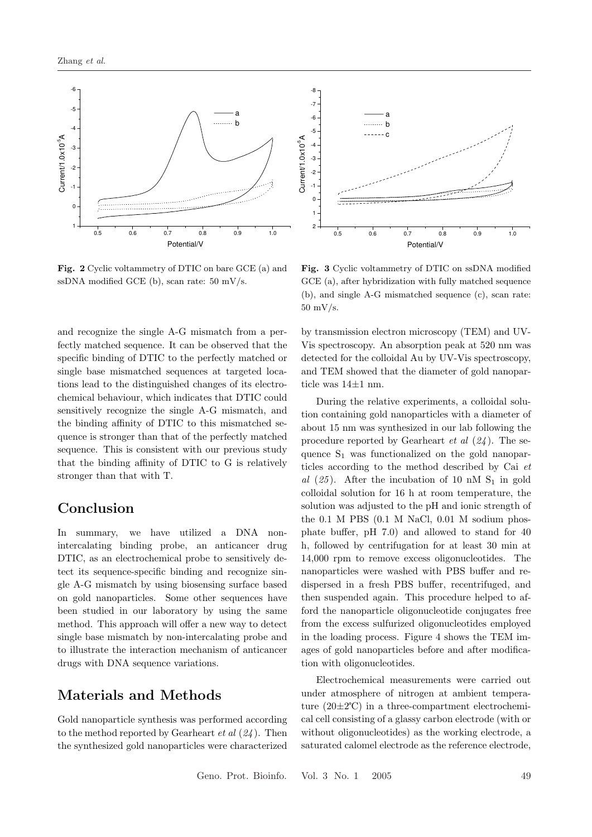

Fig. 2 Cyclic voltammetry of DTIC on bare GCE (a) and ssDNA modified GCE (b), scan rate: 50 mV/s.

and recognize the single A-G mismatch from a perfectly matched sequence. It can be observed that the specific binding of DTIC to the perfectly matched or single base mismatched sequences at targeted locations lead to the distinguished changes of its electrochemical behaviour, which indicates that DTIC could sensitively recognize the single A-G mismatch, and the binding affinity of DTIC to this mismatched sequence is stronger than that of the perfectly matched sequence. This is consistent with our previous study that the binding affinity of DTIC to G is relatively stronger than that with T.

### Conclusion

In summary, we have utilized a DNA nonintercalating binding probe, an anticancer drug DTIC, as an electrochemical probe to sensitively detect its sequence-specific binding and recognize single A-G mismatch by using biosensing surface based on gold nanoparticles. Some other sequences have been studied in our laboratory by using the same method. This approach will offer a new way to detect single base mismatch by non-intercalating probe and to illustrate the interaction mechanism of anticancer drugs with DNA sequence variations.

### Materials and Methods

Gold nanoparticle synthesis was performed according to the method reported by Gearheart  $et al (24)$ . Then the synthesized gold nanoparticles were characterized



Fig. 3 Cyclic voltammetry of DTIC on ssDNA modified GCE (a), after hybridization with fully matched sequence (b), and single A-G mismatched sequence (c), scan rate: 50 mV/s.

by transmission electron microscopy (TEM) and UV-Vis spectroscopy. An absorption peak at 520 nm was detected for the colloidal Au by UV-Vis spectroscopy, and TEM showed that the diameter of gold nanoparticle was 14±1 nm.

During the relative experiments, a colloidal solution containing gold nanoparticles with a diameter of about 15 nm was synthesized in our lab following the procedure reported by Gearheart *et al*  $(24)$ . The sequence  $S_1$  was functionalized on the gold nanoparticles according to the method described by Cai et al  $(25)$ . After the incubation of 10 nM S<sub>1</sub> in gold colloidal solution for 16 h at room temperature, the solution was adjusted to the pH and ionic strength of the 0.1 M PBS (0.1 M NaCl, 0.01 M sodium phosphate buffer, pH 7.0) and allowed to stand for 40 h, followed by centrifugation for at least 30 min at 14,000 rpm to remove excess oligonucleotides. The nanoparticles were washed with PBS buffer and redispersed in a fresh PBS buffer, recentrifuged, and then suspended again. This procedure helped to afford the nanoparticle oligonucleotide conjugates free from the excess sulfurized oligonucleotides employed in the loading process. Figure 4 shows the TEM images of gold nanoparticles before and after modification with oligonucleotides.

Electrochemical measurements were carried out under atmosphere of nitrogen at ambient temperature (20±2℃) in a three-compartment electrochemical cell consisting of a glassy carbon electrode (with or without oligonucleotides) as the working electrode, a saturated calomel electrode as the reference electrode,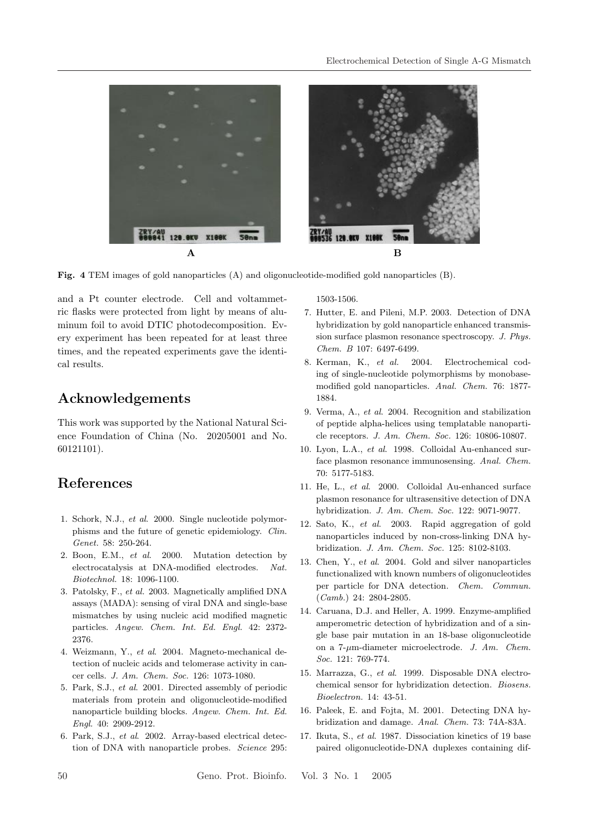

Fig. 4 TEM images of gold nanoparticles (A) and oligonucleotide-modified gold nanoparticles (B).

and a Pt counter electrode. Cell and voltammetric flasks were protected from light by means of aluminum foil to avoid DTIC photodecomposition. Every experiment has been repeated for at least three times, and the repeated experiments gave the identical results.

### Acknowledgements

This work was supported by the National Natural Science Foundation of China (No. 20205001 and No. 60121101).

# References

- 1. Schork, N.J., et al. 2000. Single nucleotide polymorphisms and the future of genetic epidemiology. Clin. Genet. 58: 250-264.
- 2. Boon, E.M., et al. 2000. Mutation detection by electrocatalysis at DNA-modified electrodes. Nat. Biotechnol. 18: 1096-1100.
- 3. Patolsky, F., et al. 2003. Magnetically amplified DNA assays (MADA): sensing of viral DNA and single-base mismatches by using nucleic acid modified magnetic particles. Angew. Chem. Int. Ed. Engl. 42: 2372- 2376.
- 4. Weizmann, Y., et al. 2004. Magneto-mechanical detection of nucleic acids and telomerase activity in cancer cells. J. Am. Chem. Soc. 126: 1073-1080.
- 5. Park, S.J., et al. 2001. Directed assembly of periodic materials from protein and oligonucleotide-modified nanoparticle building blocks. Angew. Chem. Int. Ed. Engl. 40: 2909-2912.
- 6. Park, S.J., et al. 2002. Array-based electrical detection of DNA with nanoparticle probes. Science 295:

1503-1506.

- 7. Hutter, E. and Pileni, M.P. 2003. Detection of DNA hybridization by gold nanoparticle enhanced transmission surface plasmon resonance spectroscopy. J. Phys. Chem. B 107: 6497-6499.
- 8. Kerman, K., et al. 2004. Electrochemical coding of single-nucleotide polymorphisms by monobasemodified gold nanoparticles. Anal. Chem. 76: 1877- 1884.
- 9. Verma, A., et al. 2004. Recognition and stabilization of peptide alpha-helices using templatable nanoparticle receptors. J. Am. Chem. Soc. 126: 10806-10807.
- 10. Lyon, L.A., et al. 1998. Colloidal Au-enhanced surface plasmon resonance immunosensing. Anal. Chem. 70: 5177-5183.
- 11. He, L., et al. 2000. Colloidal Au-enhanced surface plasmon resonance for ultrasensitive detection of DNA hybridization. J. Am. Chem. Soc. 122: 9071-9077.
- 12. Sato, K., et al. 2003. Rapid aggregation of gold nanoparticles induced by non-cross-linking DNA hybridization. J. Am. Chem. Soc. 125: 8102-8103.
- 13. Chen, Y., et al. 2004. Gold and silver nanoparticles functionalized with known numbers of oligonucleotides per particle for DNA detection. Chem. Commun. (Camb.) 24: 2804-2805.
- 14. Caruana, D.J. and Heller, A. 1999. Enzyme-amplified amperometric detection of hybridization and of a single base pair mutation in an 18-base oligonucleotide on a  $7$ - $\mu$ m-diameter microelectrode. J. Am. Chem. Soc. 121: 769-774.
- 15. Marrazza, G., et al. 1999. Disposable DNA electrochemical sensor for hybridization detection. Biosens. Bioelectron. 14: 43-51.
- 16. Paleek, E. and Fojta, M. 2001. Detecting DNA hybridization and damage. Anal. Chem. 73: 74A-83A.
- 17. Ikuta, S., et al. 1987. Dissociation kinetics of 19 base paired oligonucleotide-DNA duplexes containing dif-